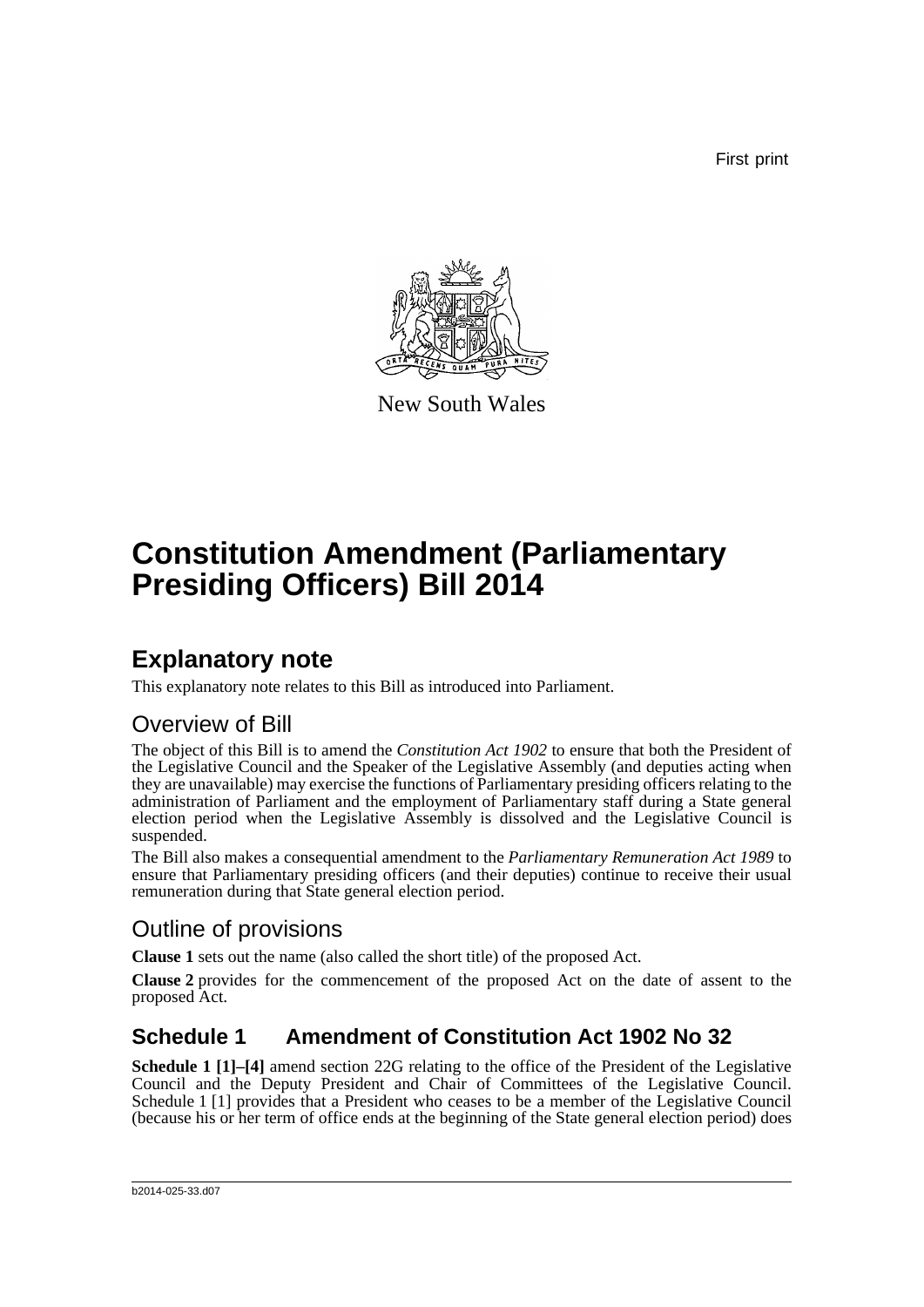First print



New South Wales

# **Constitution Amendment (Parliamentary Presiding Officers) Bill 2014**

## **Explanatory note**

This explanatory note relates to this Bill as introduced into Parliament.

### Overview of Bill

The object of this Bill is to amend the *Constitution Act 1902* to ensure that both the President of the Legislative Council and the Speaker of the Legislative Assembly (and deputies acting when they are unavailable) may exercise the functions of Parliamentary presiding officers relating to the administration of Parliament and the employment of Parliamentary staff during a State general election period when the Legislative Assembly is dissolved and the Legislative Council is suspended.

The Bill also makes a consequential amendment to the *Parliamentary Remuneration Act 1989* to ensure that Parliamentary presiding officers (and their deputies) continue to receive their usual remuneration during that State general election period.

### Outline of provisions

**Clause 1** sets out the name (also called the short title) of the proposed Act.

**Clause 2** provides for the commencement of the proposed Act on the date of assent to the proposed Act.

### **Schedule 1 Amendment of Constitution Act 1902 No 32**

**Schedule 1 [1]–[4]** amend section 22G relating to the office of the President of the Legislative Council and the Deputy President and Chair of Committees of the Legislative Council. Schedule 1 [1] provides that a President who ceases to be a member of the Legislative Council (because his or her term of office ends at the beginning of the State general election period) does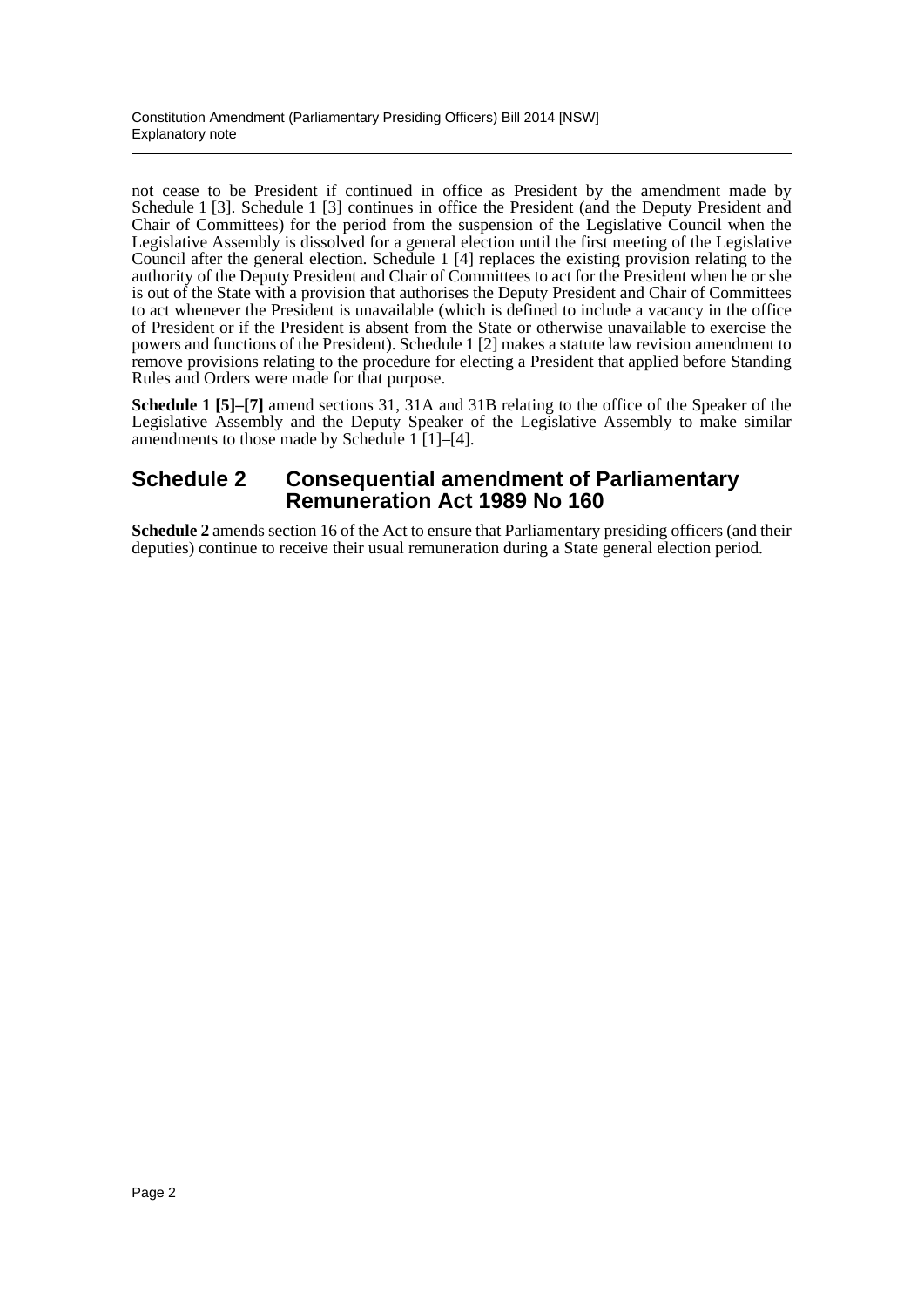not cease to be President if continued in office as President by the amendment made by Schedule 1 [3]. Schedule 1 [3] continues in office the President (and the Deputy President and Chair of Committees) for the period from the suspension of the Legislative Council when the Legislative Assembly is dissolved for a general election until the first meeting of the Legislative Council after the general election. Schedule 1 [4] replaces the existing provision relating to the authority of the Deputy President and Chair of Committees to act for the President when he or she is out of the State with a provision that authorises the Deputy President and Chair of Committees to act whenever the President is unavailable (which is defined to include a vacancy in the office of President or if the President is absent from the State or otherwise unavailable to exercise the powers and functions of the President). Schedule 1 [2] makes a statute law revision amendment to remove provisions relating to the procedure for electing a President that applied before Standing Rules and Orders were made for that purpose.

**Schedule 1 [5]–[7]** amend sections 31, 31A and 31B relating to the office of the Speaker of the Legislative Assembly and the Deputy Speaker of the Legislative Assembly to make similar amendments to those made by Schedule  $1 \overline{1}$ [1]–[4].

#### **Schedule 2 Consequential amendment of Parliamentary Remuneration Act 1989 No 160**

**Schedule 2** amends section 16 of the Act to ensure that Parliamentary presiding officers (and their deputies) continue to receive their usual remuneration during a State general election period.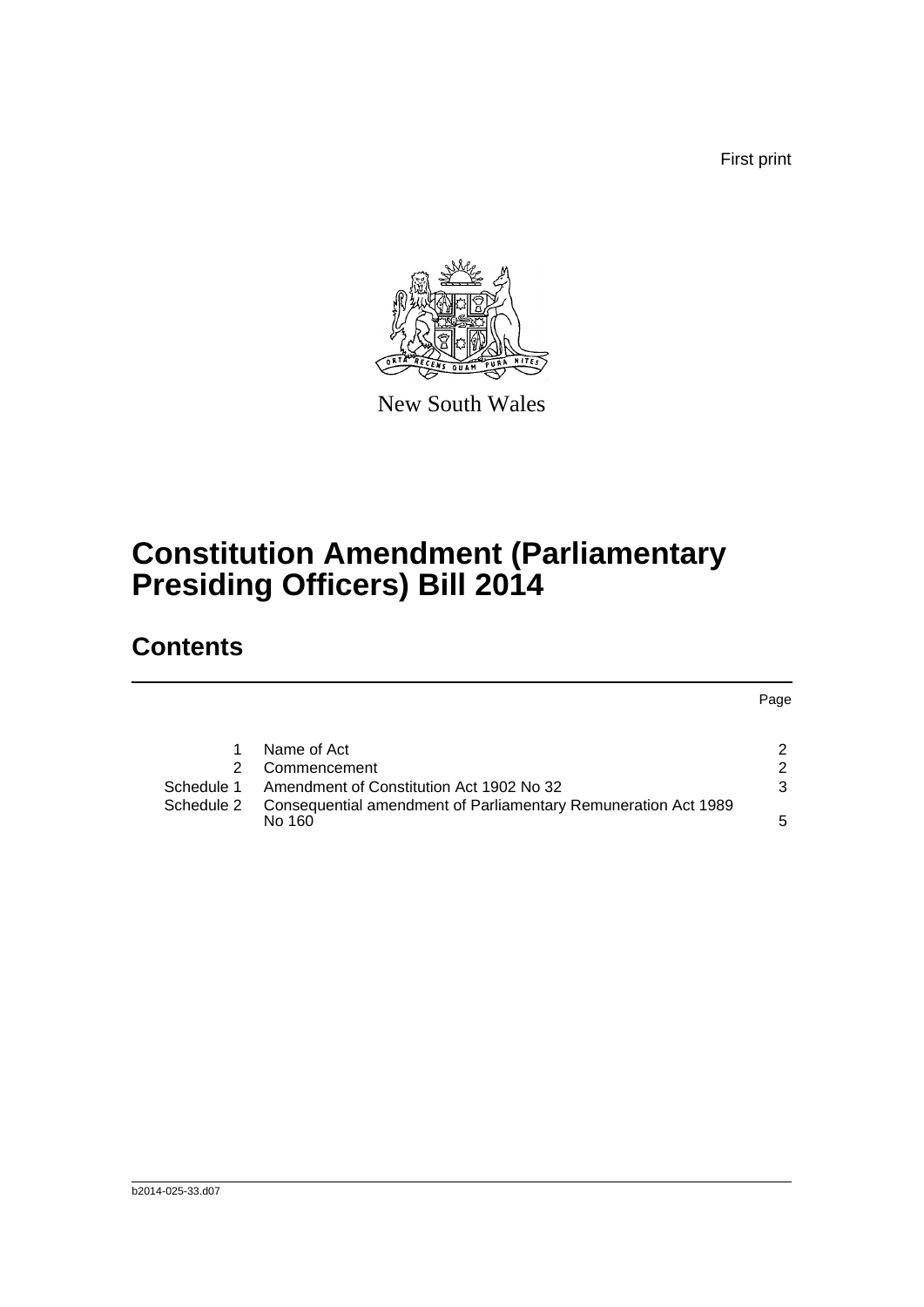First print

Page



New South Wales

## **Constitution Amendment (Parliamentary Presiding Officers) Bill 2014**

## **Contents**

|            |                                                                          | Page          |
|------------|--------------------------------------------------------------------------|---------------|
|            |                                                                          |               |
|            | Name of Act                                                              | 2             |
|            | Commencement                                                             | $\mathcal{P}$ |
| Schedule 1 | Amendment of Constitution Act 1902 No 32                                 | 3             |
| Schedule 2 | Consequential amendment of Parliamentary Remuneration Act 1989<br>No 160 | 5             |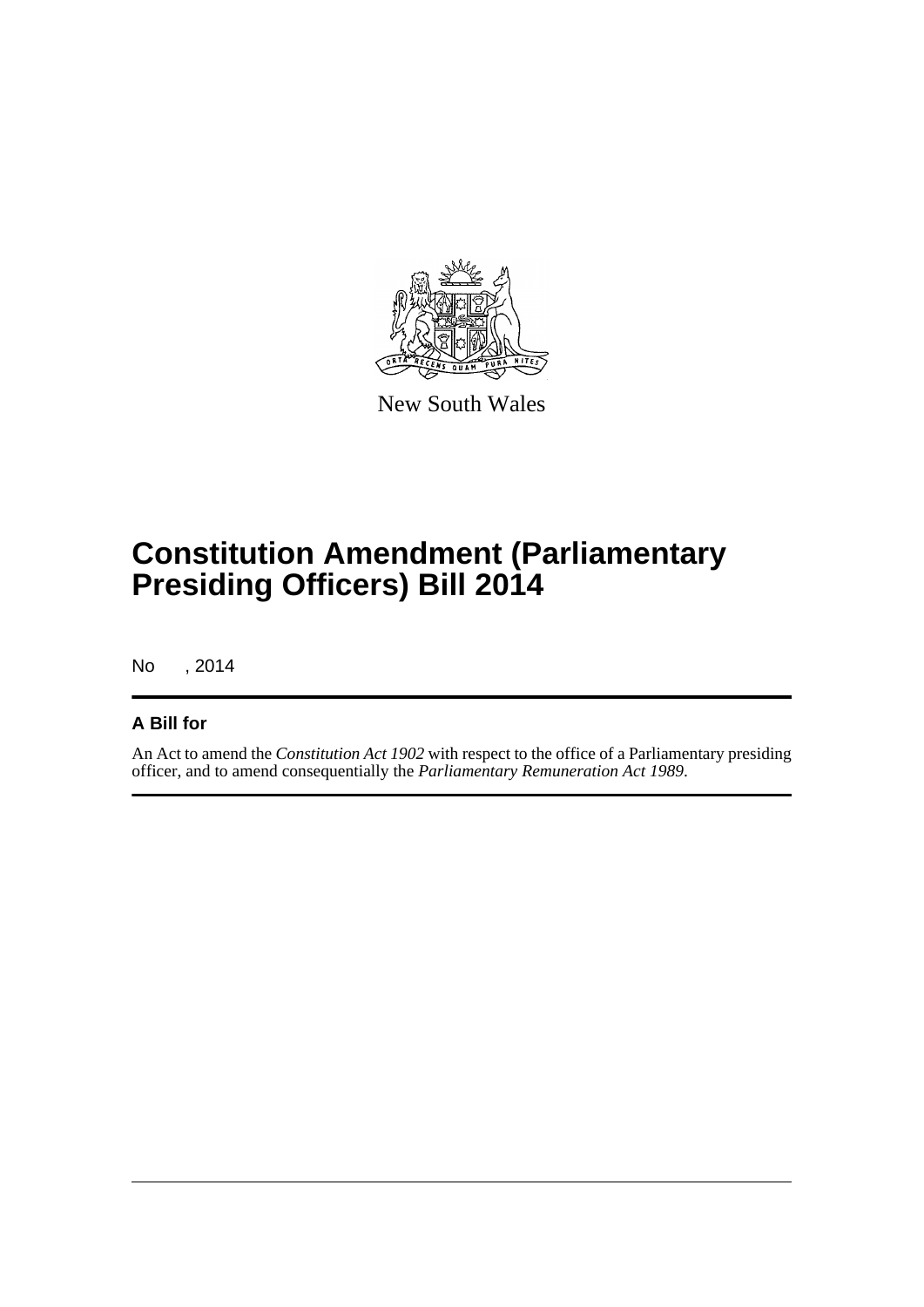

New South Wales

## **Constitution Amendment (Parliamentary Presiding Officers) Bill 2014**

No , 2014

#### **A Bill for**

An Act to amend the *Constitution Act 1902* with respect to the office of a Parliamentary presiding officer, and to amend consequentially the *Parliamentary Remuneration Act 1989*.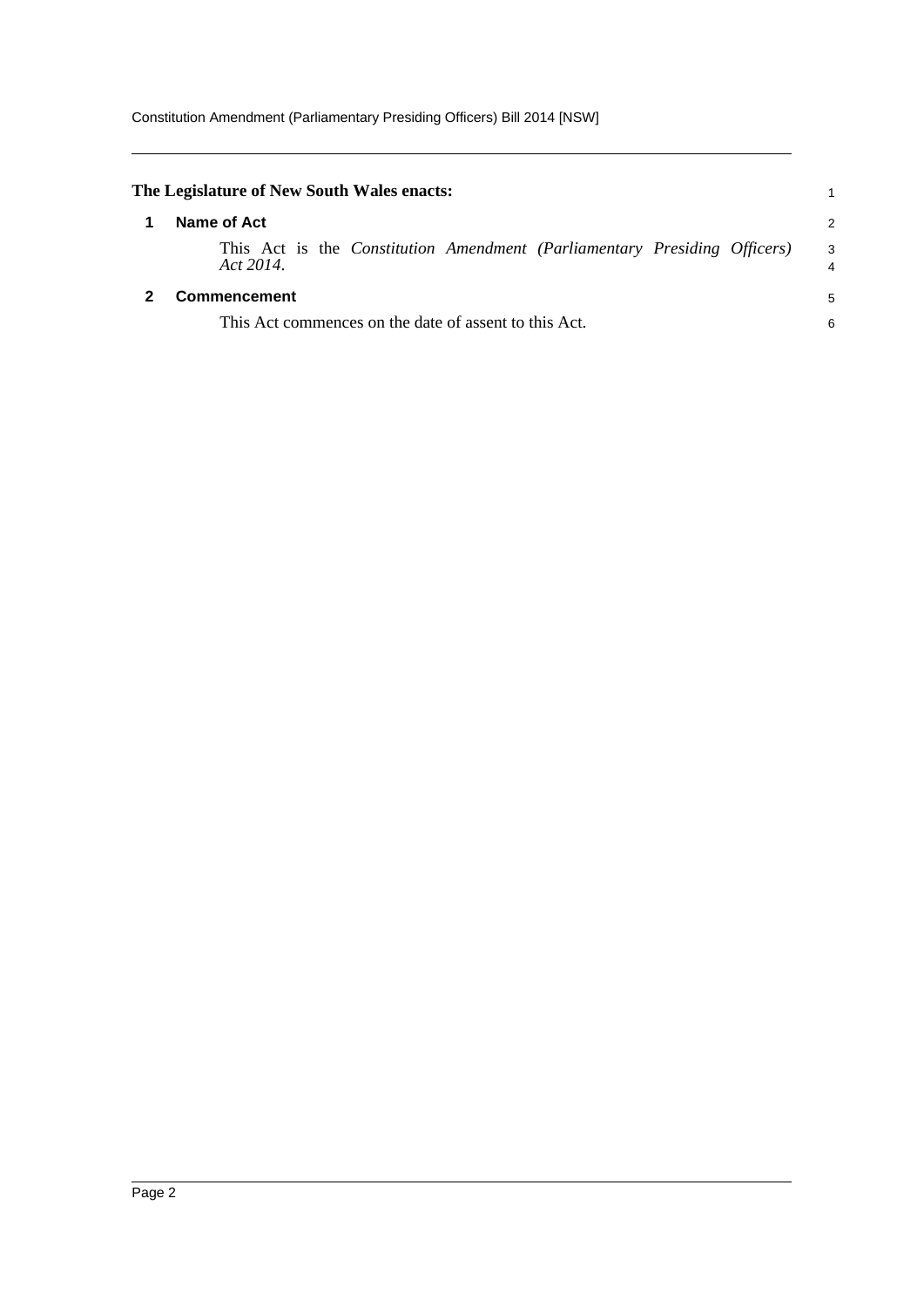<span id="page-4-1"></span><span id="page-4-0"></span>

| 2                                                                         |
|---------------------------------------------------------------------------|
| 3<br>4                                                                    |
| 5                                                                         |
| 6                                                                         |
| This Act is the Constitution Amendment (Parliamentary Presiding Officers) |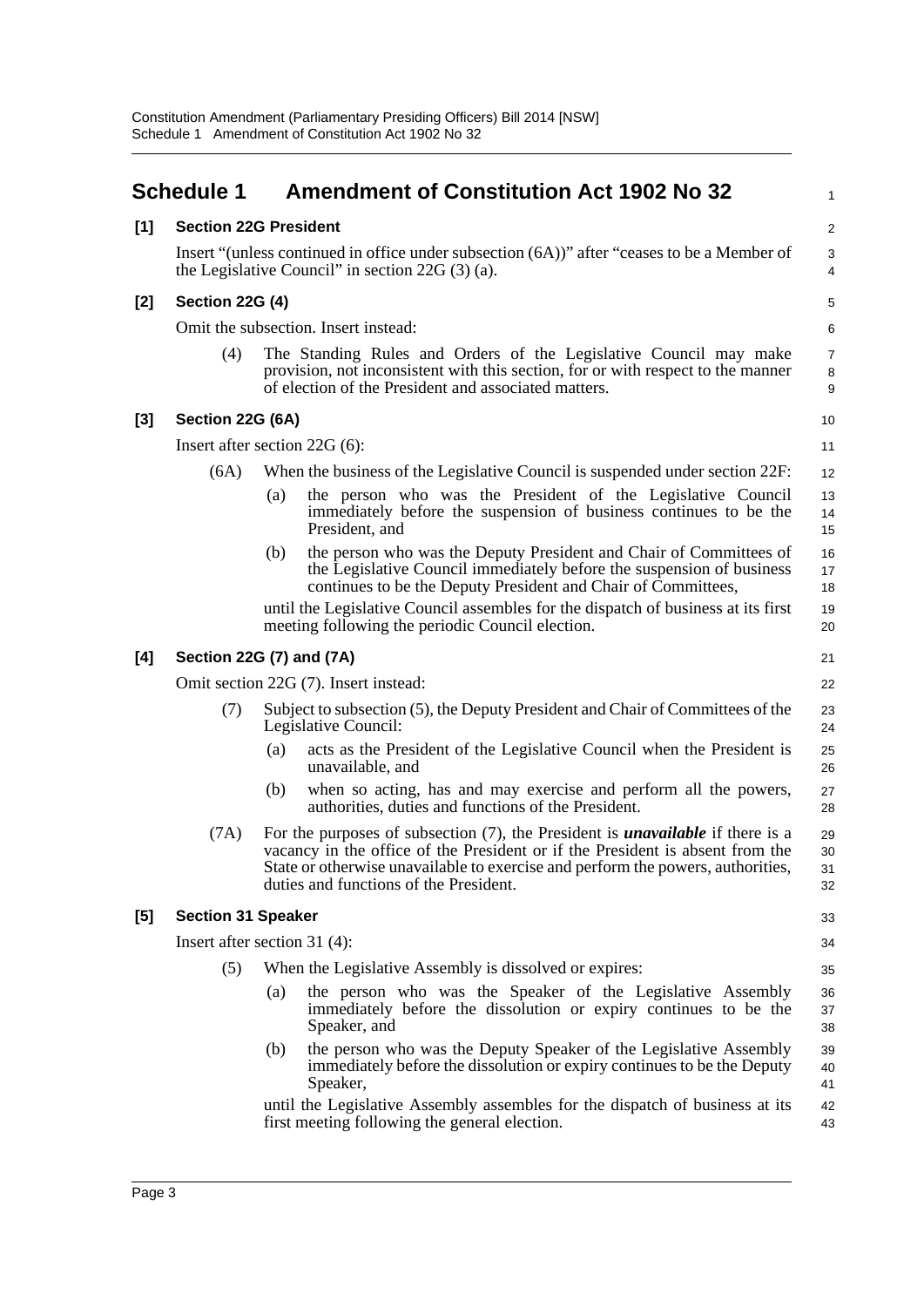<span id="page-5-0"></span>

|       | <b>Schedule 1</b>               |                                                                                                                                                  | <b>Amendment of Constitution Act 1902 No 32</b>                                                                                                                                                                                                                                                        | $\mathbf{1}$             |  |  |  |  |
|-------|---------------------------------|--------------------------------------------------------------------------------------------------------------------------------------------------|--------------------------------------------------------------------------------------------------------------------------------------------------------------------------------------------------------------------------------------------------------------------------------------------------------|--------------------------|--|--|--|--|
| [1]   | <b>Section 22G President</b>    |                                                                                                                                                  | 2                                                                                                                                                                                                                                                                                                      |                          |  |  |  |  |
|       |                                 | Insert "(unless continued in office under subsection (6A))" after "ceases to be a Member of<br>the Legislative Council" in section $22G(3)$ (a). |                                                                                                                                                                                                                                                                                                        |                          |  |  |  |  |
| [2]   | Section 22G (4)                 |                                                                                                                                                  |                                                                                                                                                                                                                                                                                                        |                          |  |  |  |  |
|       |                                 | Omit the subsection. Insert instead:                                                                                                             |                                                                                                                                                                                                                                                                                                        |                          |  |  |  |  |
|       | (4)                             |                                                                                                                                                  | The Standing Rules and Orders of the Legislative Council may make<br>provision, not inconsistent with this section, for or with respect to the manner<br>of election of the President and associated matters.                                                                                          | $\overline{7}$<br>8<br>9 |  |  |  |  |
| $[3]$ | Section 22G (6A)                |                                                                                                                                                  |                                                                                                                                                                                                                                                                                                        |                          |  |  |  |  |
|       | Insert after section $22G(6)$ : |                                                                                                                                                  |                                                                                                                                                                                                                                                                                                        | 11                       |  |  |  |  |
|       | (6A)                            |                                                                                                                                                  | When the business of the Legislative Council is suspended under section 22F:                                                                                                                                                                                                                           | 12                       |  |  |  |  |
|       |                                 | (a)                                                                                                                                              | the person who was the President of the Legislative Council<br>immediately before the suspension of business continues to be the<br>President, and                                                                                                                                                     | 13<br>14<br>15           |  |  |  |  |
|       |                                 | (b)                                                                                                                                              | the person who was the Deputy President and Chair of Committees of<br>the Legislative Council immediately before the suspension of business<br>continues to be the Deputy President and Chair of Committees,                                                                                           | 16<br>17<br>18           |  |  |  |  |
|       |                                 |                                                                                                                                                  | until the Legislative Council assembles for the dispatch of business at its first<br>meeting following the periodic Council election.                                                                                                                                                                  | 19<br>20                 |  |  |  |  |
| [4]   | Section 22G (7) and (7A)        |                                                                                                                                                  |                                                                                                                                                                                                                                                                                                        | 21                       |  |  |  |  |
|       |                                 |                                                                                                                                                  | Omit section 22G (7). Insert instead:                                                                                                                                                                                                                                                                  | 22                       |  |  |  |  |
|       | (7)                             |                                                                                                                                                  | Subject to subsection (5), the Deputy President and Chair of Committees of the<br>Legislative Council:                                                                                                                                                                                                 | 23<br>24                 |  |  |  |  |
|       |                                 | (a)                                                                                                                                              | acts as the President of the Legislative Council when the President is<br>unavailable, and                                                                                                                                                                                                             | 25<br>26                 |  |  |  |  |
|       |                                 | (b)                                                                                                                                              | when so acting, has and may exercise and perform all the powers,<br>authorities, duties and functions of the President.                                                                                                                                                                                | 27<br>28                 |  |  |  |  |
|       | (7A)                            |                                                                                                                                                  | For the purposes of subsection $(7)$ , the President is <i>unavailable</i> if there is a<br>vacancy in the office of the President or if the President is absent from the<br>State or otherwise unavailable to exercise and perform the powers, authorities,<br>duties and functions of the President. | 29<br>30<br>31<br>32     |  |  |  |  |
| [5]   | <b>Section 31 Speaker</b>       |                                                                                                                                                  |                                                                                                                                                                                                                                                                                                        | 33                       |  |  |  |  |
|       | Insert after section 31 $(4)$ : |                                                                                                                                                  |                                                                                                                                                                                                                                                                                                        |                          |  |  |  |  |
|       | (5)                             |                                                                                                                                                  | When the Legislative Assembly is dissolved or expires:                                                                                                                                                                                                                                                 | 35                       |  |  |  |  |
|       |                                 | (a)                                                                                                                                              | the person who was the Speaker of the Legislative Assembly<br>immediately before the dissolution or expiry continues to be the<br>Speaker, and                                                                                                                                                         | 36<br>37<br>38           |  |  |  |  |
|       |                                 | (b)                                                                                                                                              | the person who was the Deputy Speaker of the Legislative Assembly<br>immediately before the dissolution or expiry continues to be the Deputy<br>Speaker,                                                                                                                                               | 39<br>40<br>41           |  |  |  |  |
|       |                                 |                                                                                                                                                  | until the Legislative Assembly assembles for the dispatch of business at its<br>first meeting following the general election.                                                                                                                                                                          | 42<br>43                 |  |  |  |  |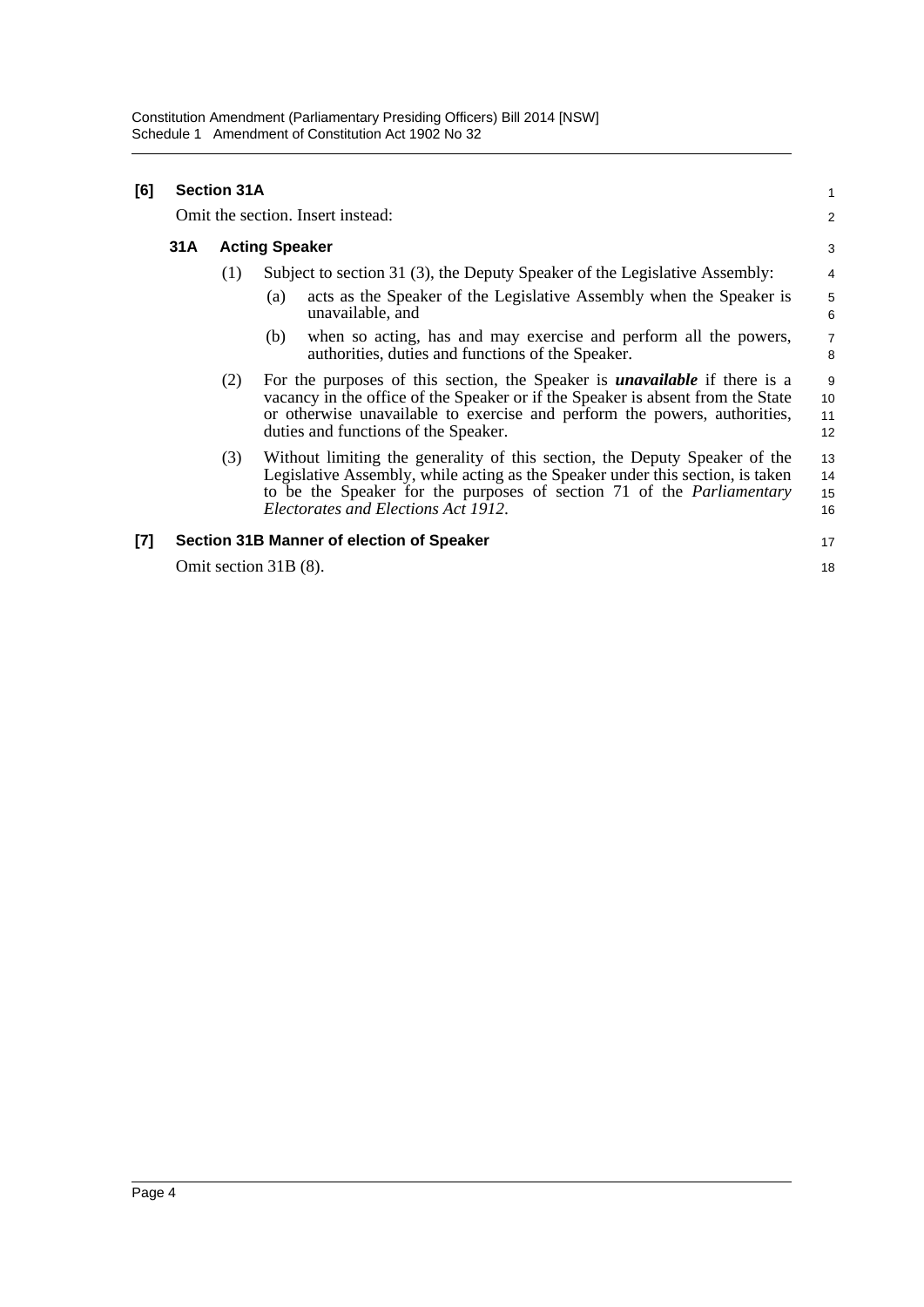| [6] | <b>Section 31A</b><br>Omit the section. Insert instead: |                       |                                                                            | 1                                                                                                                                                                                                                                                                                         |                      |
|-----|---------------------------------------------------------|-----------------------|----------------------------------------------------------------------------|-------------------------------------------------------------------------------------------------------------------------------------------------------------------------------------------------------------------------------------------------------------------------------------------|----------------------|
|     |                                                         |                       |                                                                            | 2                                                                                                                                                                                                                                                                                         |                      |
|     | 31A                                                     | <b>Acting Speaker</b> |                                                                            |                                                                                                                                                                                                                                                                                           | 3                    |
|     |                                                         | (1)                   | Subject to section 31 (3), the Deputy Speaker of the Legislative Assembly: |                                                                                                                                                                                                                                                                                           | $\overline{4}$       |
|     |                                                         |                       | (a)                                                                        | acts as the Speaker of the Legislative Assembly when the Speaker is<br>unavailable, and                                                                                                                                                                                                   | $\mathbf 5$<br>6     |
|     |                                                         |                       | (b)                                                                        | when so acting, has and may exercise and perform all the powers,<br>authorities, duties and functions of the Speaker.                                                                                                                                                                     | $\overline{7}$<br>8  |
|     |                                                         | (2)                   |                                                                            | For the purposes of this section, the Speaker is <i>unavailable</i> if there is a<br>vacancy in the office of the Speaker or if the Speaker is absent from the State<br>or otherwise unavailable to exercise and perform the powers, authorities,<br>duties and functions of the Speaker. | 9<br>10<br>11<br>12  |
|     |                                                         | (3)                   |                                                                            | Without limiting the generality of this section, the Deputy Speaker of the<br>Legislative Assembly, while acting as the Speaker under this section, is taken<br>to be the Speaker for the purposes of section 71 of the <i>Parliamentary</i><br>Electorates and Elections Act 1912.       | 13<br>14<br>15<br>16 |
| [7] |                                                         |                       |                                                                            | Section 31B Manner of election of Speaker                                                                                                                                                                                                                                                 | 17                   |
|     | Omit section $31B(8)$ .                                 |                       |                                                                            | 18                                                                                                                                                                                                                                                                                        |                      |